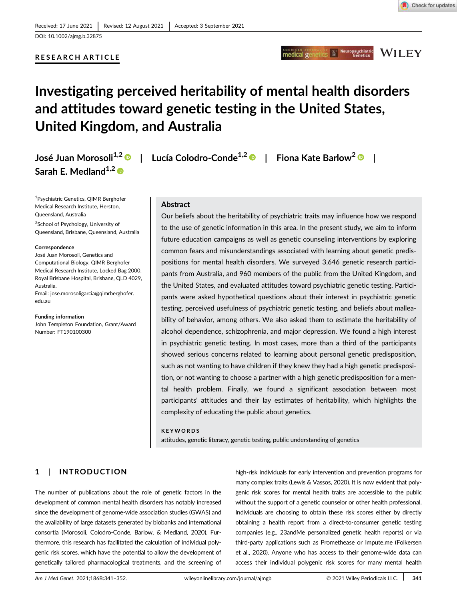Check for updates

# RESEARCH ARTICLE

# Investigating perceived heritability of mental health disorders and attitudes toward genetic testing in the United States, United Kingdom, and Australia

Sarah E. Medland $1,2$ 

1 Psychiatric Genetics, QIMR Berghofer Medical Research Institute, Herston, Queensland, Australia <sup>2</sup>School of Psychology, University of Queensland, Brisbane, Queensland, Australia

#### Correspondence

José Juan Morosoli, Genetics and Computational Biology, QIMR Berghofer Medical Research Institute, Locked Bag 2000, Royal Brisbane Hospital, Brisbane, QLD 4029, Australia. Email: jose.morosoligarcia@qimrberghofer. edu.au

#### Funding information

John Templeton Foundation, Grant/Award Number: FT190100300

José Juan Morosoli<sup>1,2</sup> <sup>D</sup> | Lucía Colodro-Conde<sup>1,2</sup> D | Fiona Kate Barlow<sup>2</sup> D |

## Abstract

Our beliefs about the heritability of psychiatric traits may influence how we respond to the use of genetic information in this area. In the present study, we aim to inform future education campaigns as well as genetic counseling interventions by exploring common fears and misunderstandings associated with learning about genetic predispositions for mental health disorders. We surveyed 3,646 genetic research participants from Australia, and 960 members of the public from the United Kingdom, and the United States, and evaluated attitudes toward psychiatric genetic testing. Participants were asked hypothetical questions about their interest in psychiatric genetic testing, perceived usefulness of psychiatric genetic testing, and beliefs about malleability of behavior, among others. We also asked them to estimate the heritability of alcohol dependence, schizophrenia, and major depression. We found a high interest in psychiatric genetic testing. In most cases, more than a third of the participants showed serious concerns related to learning about personal genetic predisposition, such as not wanting to have children if they knew they had a high genetic predisposition, or not wanting to choose a partner with a high genetic predisposition for a mental health problem. Finally, we found a significant association between most participants' attitudes and their lay estimates of heritability, which highlights the complexity of educating the public about genetics.

#### **KEYWORDS**

attitudes, genetic literacy, genetic testing, public understanding of genetics

# 1 | INTRODUCTION

The number of publications about the role of genetic factors in the development of common mental health disorders has notably increased since the development of genome-wide association studies (GWAS) and the availability of large datasets generated by biobanks and international consortia (Morosoli, Colodro-Conde, Barlow, & Medland, 2020). Furthermore, this research has facilitated the calculation of individual polygenic risk scores, which have the potential to allow the development of genetically tailored pharmacological treatments, and the screening of high-risk individuals for early intervention and prevention programs for many complex traits (Lewis & Vassos, 2020). It is now evident that polygenic risk scores for mental health traits are accessible to the public without the support of a genetic counselor or other health professional. Individuals are choosing to obtain these risk scores either by directly obtaining a health report from a direct-to-consumer genetic testing companies (e.g., 23andMe personalized genetic health reports) or via third-party applications such as Promethease or Impute.me (Folkersen et al., 2020). Anyone who has access to their genome-wide data can access their individual polygenic risk scores for many mental health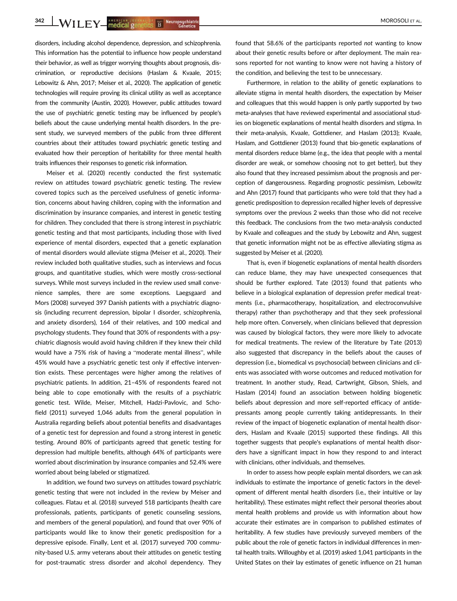342 WII FY AMERICAN SOCKELL BY THE Neuropsychiatric Reserves and the Contract of the Contract of the Contract of Contract Contract of the Contract of Contract Contract Contract Contract Contract Contract Contract Contract

disorders, including alcohol dependence, depression, and schizophrenia. This information has the potential to influence how people understand their behavior, as well as trigger worrying thoughts about prognosis, discrimination, or reproductive decisions (Haslam & Kvaale, 2015; Lebowitz & Ahn, 2017; Meiser et al., 2020). The application of genetic technologies will require proving its clinical utility as well as acceptance from the community (Austin, 2020). However, public attitudes toward the use of psychiatric genetic testing may be influenced by people's beliefs about the cause underlying mental health disorders. In the present study, we surveyed members of the public from three different countries about their attitudes toward psychiatric genetic testing and evaluated how their perception of heritability for three mental health traits influences their responses to genetic risk information.

Meiser et al. (2020) recently conducted the first systematic review on attitudes toward psychiatric genetic testing. The review covered topics such as the perceived usefulness of genetic information, concerns about having children, coping with the information and discrimination by insurance companies, and interest in genetic testing for children. They concluded that there is strong interest in psychiatric genetic testing and that most participants, including those with lived experience of mental disorders, expected that a genetic explanation of mental disorders would alleviate stigma (Meiser et al., 2020). Their review included both qualitative studies, such as interviews and focus groups, and quantitative studies, which were mostly cross-sectional surveys. While most surveys included in the review used small convenience samples, there are some exceptions. Laegsgaard and Mors (2008) surveyed 397 Danish patients with a psychiatric diagnosis (including recurrent depression, bipolar I disorder, schizophrenia, and anxiety disorders), 164 of their relatives, and 100 medical and psychology students. They found that 30% of respondents with a psychiatric diagnosis would avoid having children if they knew their child would have a 75% risk of having a "moderate mental illness", while 45% would have a psychiatric genetic test only if effective intervention exists. These percentages were higher among the relatives of psychiatric patients. In addition, 21–45% of respondents feared not being able to cope emotionally with the results of a psychiatric genetic test. Wilde, Meiser, Mitchell, Hadzi-Pavlovic, and Schofield (2011) surveyed 1,046 adults from the general population in Australia regarding beliefs about potential benefits and disadvantages of a genetic test for depression and found a strong interest in genetic testing. Around 80% of participants agreed that genetic testing for depression had multiple benefits, although 64% of participants were worried about discrimination by insurance companies and 52.4% were worried about being labeled or stigmatized.

In addition, we found two surveys on attitudes toward psychiatric genetic testing that were not included in the review by Meiser and colleagues. Flatau et al. (2018) surveyed 518 participants (health care professionals, patients, participants of genetic counseling sessions, and members of the general population), and found that over 90% of participants would like to know their genetic predisposition for a depressive episode. Finally, Lent et al. (2017) surveyed 700 community-based U.S. army veterans about their attitudes on genetic testing for post-traumatic stress disorder and alcohol dependency. They

found that 58.6% of the participants reported not wanting to know about their genetic results before or after deployment. The main reasons reported for not wanting to know were not having a history of the condition, and believing the test to be unnecessary.

Furthermore, in relation to the ability of genetic explanations to alleviate stigma in mental health disorders, the expectation by Meiser and colleagues that this would happen is only partly supported by two meta-analyses that have reviewed experimental and associational studies on biogenetic explanations of mental health disorders and stigma. In their meta-analysis, Kvaale, Gottdiener, and Haslam (2013); Kvaale, Haslam, and Gottdiener (2013) found that bio-genetic explanations of mental disorders reduce blame (e.g., the idea that people with a mental disorder are weak, or somehow choosing not to get better), but they also found that they increased pessimism about the prognosis and perception of dangerousness. Regarding prognostic pessimism, Lebowitz and Ahn (2017) found that participants who were told that they had a genetic predisposition to depression recalled higher levels of depressive symptoms over the previous 2 weeks than those who did not receive this feedback. The conclusions from the two meta-analysis conducted by Kvaale and colleagues and the study by Lebowitz and Ahn, suggest that genetic information might not be as effective alleviating stigma as suggested by Meiser et al. (2020).

That is, even if biogenetic explanations of mental health disorders can reduce blame, they may have unexpected consequences that should be further explored. Tate (2013) found that patients who believe in a biological explanation of depression prefer medical treatments (i.e., pharmacotherapy, hospitalization, and electroconvulsive therapy) rather than psychotherapy and that they seek professional help more often. Conversely, when clinicians believed that depression was caused by biological factors, they were more likely to advocate for medical treatments. The review of the literature by Tate (2013) also suggested that discrepancy in the beliefs about the causes of depression (i.e., biomedical vs psychosocial) between clinicians and clients was associated with worse outcomes and reduced motivation for treatment. In another study, Read, Cartwright, Gibson, Shiels, and Haslam (2014) found an association between holding biogenetic beliefs about depression and more self-reported efficacy of antidepressants among people currently taking antidepressants. In their review of the impact of biogenetic explanation of mental health disorders, Haslam and Kvaale (2015) supported these findings. All this together suggests that people's explanations of mental health disorders have a significant impact in how they respond to and interact with clinicians, other individuals, and themselves.

In order to assess how people explain mental disorders, we can ask individuals to estimate the importance of genetic factors in the development of different mental health disorders (i.e., their intuitive or lay heritability). These estimates might reflect their personal theories about mental health problems and provide us with information about how accurate their estimates are in comparison to published estimates of heritability. A few studies have previously surveyed members of the public about the role of genetic factors in individual differences in mental health traits. Willoughby et al. (2019) asked 1,041 participants in the United States on their lay estimates of genetic influence on 21 human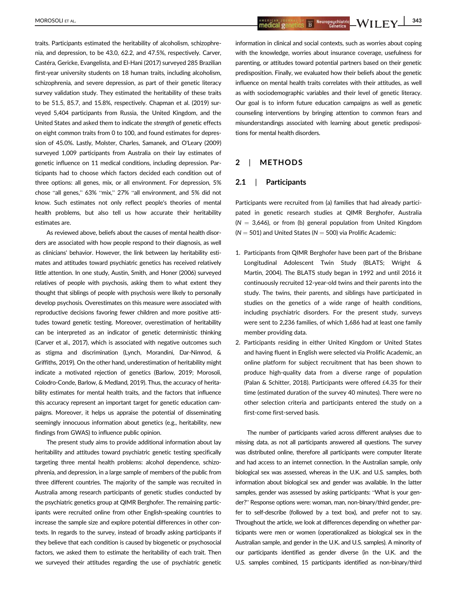traits. Participants estimated the heritability of alcoholism, schizophrenia, and depression, to be 43.0, 62.2, and 47.5%, respectively. Carver, Castéra, Gericke, Evangelista, and El-Hani (2017) surveyed 285 Brazilian first-year university students on 18 human traits, including alcoholism, schizophrenia, and severe depression, as part of their genetic literacy survey validation study. They estimated the heritability of these traits to be 51.5, 85.7, and 15.8%, respectively. Chapman et al. (2019) surveyed 5,404 participants from Russia, the United Kingdom, and the United States and asked them to indicate the strength of genetic effects on eight common traits from 0 to 100, and found estimates for depression of 45.0%. Lastly, Molster, Charles, Samanek, and O'Leary (2009) surveyed 1,009 participants from Australia on their lay estimates of genetic influence on 11 medical conditions, including depression. Participants had to choose which factors decided each condition out of three options: all genes, mix, or all environment. For depression, 5% chose "all genes," 63% "mix," 27% "all environment, and 5% did not know. Such estimates not only reflect people's theories of mental health problems, but also tell us how accurate their heritability estimates are.

As reviewed above, beliefs about the causes of mental health disorders are associated with how people respond to their diagnosis, as well as clinicians' behavior. However, the link between lay heritability estimates and attitudes toward psychiatric genetics has received relatively little attention. In one study, Austin, Smith, and Honer (2006) surveyed relatives of people with psychosis, asking them to what extent they thought that siblings of people with psychosis were likely to personally develop psychosis. Overestimates on this measure were associated with reproductive decisions favoring fewer children and more positive attitudes toward genetic testing. Moreover, overestimation of heritability can be interpreted as an indicator of genetic deterministic thinking (Carver et al., 2017), which is associated with negative outcomes such as stigma and discrimination (Lynch, Morandini, Dar-Nimrod, & Griffiths, 2019). On the other hand, underestimation of heritability might indicate a motivated rejection of genetics (Barlow, 2019; Morosoli, Colodro-Conde, Barlow, & Medland, 2019). Thus, the accuracy of heritability estimates for mental health traits, and the factors that influence this accuracy represent an important target for genetic education campaigns. Moreover, it helps us appraise the potential of disseminating seemingly innocuous information about genetics (e.g., heritability, new findings from GWAS) to influence public opinion.

The present study aims to provide additional information about lay heritability and attitudes toward psychiatric genetic testing specifically targeting three mental health problems: alcohol dependence, schizophrenia, and depression, in a large sample of members of the public from three different countries. The majority of the sample was recruited in Australia among research participants of genetic studies conducted by the psychiatric genetics group at QIMR Berghofer. The remaining participants were recruited online from other English-speaking countries to increase the sample size and explore potential differences in other contexts. In regards to the survey, instead of broadly asking participants if they believe that each condition is caused by biogenetic or psychosocial factors, we asked them to estimate the heritability of each trait. Then we surveyed their attitudes regarding the use of psychiatric genetic

MOROSOLI ET AL. 343

information in clinical and social contexts, such as worries about coping with the knowledge, worries about insurance coverage, usefulness for parenting, or attitudes toward potential partners based on their genetic predisposition. Finally, we evaluated how their beliefs about the genetic influence on mental health traits correlates with their attitudes, as well as with sociodemographic variables and their level of genetic literacy. Our goal is to inform future education campaigns as well as genetic counseling interventions by bringing attention to common fears and misunderstandings associated with learning about genetic predispositions for mental health disorders.

# 2 | METHODS

# 2.1 | Participants

Participants were recruited from (a) families that had already participated in genetic research studies at QIMR Berghofer, Australia  $(N = 3,646)$ , or from (b) general population from United Kingdom  $(N = 501)$  and United States ( $N = 500$ ) via Prolific Academic:

- 1. Participants from QIMR Berghofer have been part of the Brisbane Longitudinal Adolescent Twin Study (BLATS; Wright & Martin, 2004). The BLATS study began in 1992 and until 2016 it continuously recruited 12-year-old twins and their parents into the study. The twins, their parents, and siblings have participated in studies on the genetics of a wide range of health conditions, including psychiatric disorders. For the present study, surveys were sent to 2,236 families, of which 1,686 had at least one family member providing data.
- 2. Participants residing in either United Kingdom or United States and having fluent in English were selected via Prolific Academic, an online platform for subject recruitment that has been shown to produce high-quality data from a diverse range of population (Palan & Schitter, 2018). Participants were offered £4.35 for their time (estimated duration of the survey 40 minutes). There were no other selection criteria and participants entered the study on a first-come first-served basis.

The number of participants varied across different analyses due to missing data, as not all participants answered all questions. The survey was distributed online, therefore all participants were computer literate and had access to an internet connection. In the Australian sample, only biological sex was assessed, whereas in the U.K. and U.S. samples, both information about biological sex and gender was available. In the latter samples, gender was assessed by asking participants: "What is your gender?" Response options were: woman, man, non-binary/third gender, prefer to self-describe (followed by a text box), and prefer not to say. Throughout the article, we look at differences depending on whether participants were men or women (operationalized as biological sex in the Australian sample, and gender in the U.K. and U.S. samples). A minority of our participants identified as gender diverse (in the U.K. and the U.S. samples combined, 15 participants identified as non-binary/third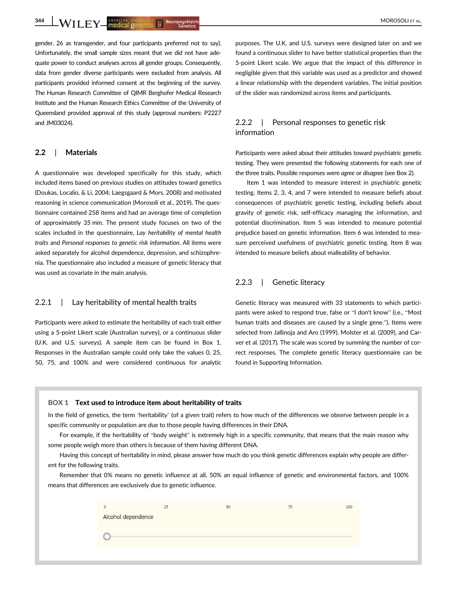344 WILEY AMERICAN SOCKELL BY THE Neuropsychiatric Genetics (September 2002) NOROSOLI ET AL.

gender, 26 as transgender, and four participants preferred not to say). Unfortunately, the small sample sizes meant that we did not have adequate power to conduct analyses across all gender groups. Consequently, data from gender diverse participants were excluded from analysis. All participants provided informed consent at the beginning of the survey. The Human Research Committee of QIMR Berghofer Medical Research Institute and the Human Research Ethics Committee of the University of Queensland provided approval of this study (approval numbers: P2227 and JM03024).

## 2.2 | Materials

A questionnaire was developed specifically for this study, which included items based on previous studies on attitudes toward genetics (Doukas, Localio, & Li, 2004; Laegsgaard & Mors, 2008) and motivated reasoning in science communication (Morosoli et al., 2019). The questionnaire contained 258 items and had an average time of completion of approximately 35 min. The present study focuses on two of the scales included in the questionnaire, Lay heritability of mental health traits and Personal responses to genetic risk information. All items were asked separately for alcohol dependence, depression, and schizophrenia. The questionnaire also included a measure of genetic literacy that was used as covariate in the main analysis.

## 2.2.1 | Lay heritability of mental health traits

Participants were asked to estimate the heritability of each trait either using a 5-point Likert scale (Australian survey), or a continuous slider (U.K. and U.S. surveys). A sample item can be found in Box 1. Responses in the Australian sample could only take the values 0, 25, 50, 75, and 100% and were considered continuous for analytic

purposes. The U.K. and U.S. surveys were designed later on and we found a continuous slider to have better statistical properties than the 5-point Likert scale. We argue that the impact of this difference in negligible given that this variable was used as a predictor and showed a linear relationship with the dependent variables. The initial position of the slider was randomized across items and participants.

# 2.2.2 | Personal responses to genetic risk information

Participants were asked about their attitudes toward psychiatric genetic testing. They were presented the following statements for each one of the three traits. Possible responses were agree or disagree (see Box 2).

Item 1 was intended to measure interest in psychiatric genetic testing. Items 2, 3, 4, and 7 were intended to measure beliefs about consequences of psychiatric genetic testing, including beliefs about gravity of genetic risk, self-efficacy managing the information, and potential discrimination. Item 5 was intended to measure potential prejudice based on genetic information. Item 6 was intended to measure perceived usefulness of psychiatric genetic testing. Item 8 was intended to measure beliefs about malleability of behavior.

## 2.2.3 | Genetic literacy

Genetic literacy was measured with 33 statements to which participants were asked to respond true, false or "I don't know" (i.e., "Most human traits and diseases are caused by a single gene."). Items were selected from Jallinoja and Aro (1999), Molster et al. (2009), and Carver et al. (2017). The scale was scored by summing the number of correct responses. The complete genetic literacy questionnaire can be found in Supporting Information.

#### BOX 1 Text used to introduce item about heritability of traits

In the field of genetics, the term 'heritability' (of a given trait) refers to how much of the differences we observe between people in a specific community or population are due to those people having differences in their DNA.

For example, if the heritability of "body weight" is extremely high in a specific community, that means that the main reason why some people weigh more than others is because of them having different DNA.

Having this concept of heritability in mind, please answer how much do you think genetic differences explain why people are different for the following traits.

Remember that 0% means no genetic influence at all, 50% an equal influence of genetic and environmental factors, and 100% means that differences are exclusively due to genetic influence.

|                    | 25 | 50 | 100 |
|--------------------|----|----|-----|
| Alcohol dependence |    |    |     |
|                    |    |    |     |
|                    |    |    |     |
|                    |    |    |     |
|                    |    |    |     |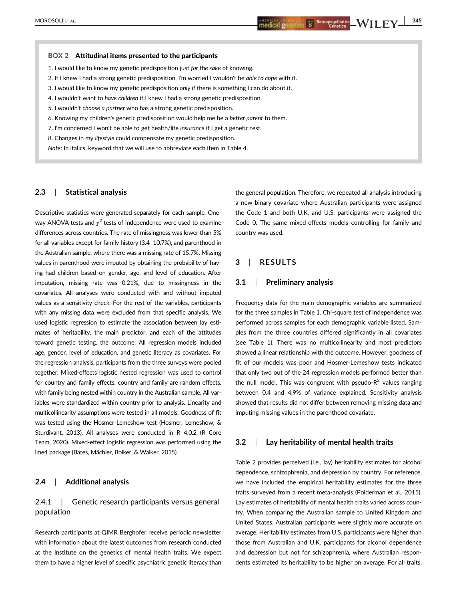#### BOX 2 Attitudinal items presented to the participants

- 1. I would like to know my genetic predisposition just for the sake of knowing.
- 2. If I knew I had a strong genetic predisposition, I'm worried I wouldn't be able to cope with it.
- 3. I would like to know my genetic predisposition only if there is something I can do about it.
- 4. I wouldn't want to have children if I knew I had a strong genetic predisposition.
- 5. I wouldn't choose a partner who has a strong genetic predisposition.
- 6. Knowing my children's genetic predisposition would help me be a better parent to them.
- 7. I'm concerned I won't be able to get health/life insurance if I get a genetic test.
- 8. Changes in my lifestyle could compensate my genetic predisposition.

Note: In italics, keyword that we will use to abbreviate each item in Table 4.

# 2.3 | Statistical analysis

Descriptive statistics were generated separately for each sample. Oneway ANOVA tests and  $\chi^2$  tests of independence were used to examine differences across countries. The rate of missingness was lower than 5% for all variables except for family history (3.4–10.7%), and parenthood in the Australian sample, where there was a missing rate of 15.7%. Missing values in parenthood were imputed by obtaining the probability of having had children based on gender, age, and level of education. After imputation, missing rate was 0.21%, due to missingness in the covariates. All analyses were conducted with and without imputed values as a sensitivity check. For the rest of the variables, participants with any missing data were excluded from that specific analysis. We used logistic regression to estimate the association between lay estimates of heritability, the main predictor, and each of the attitudes toward genetic testing, the outcome. All regression models included age, gender, level of education, and genetic literacy as covariates. For the regression analysis, participants from the three surveys were pooled together. Mixed-effects logistic nested regression was used to control for country and family effects: country and family are random effects, with family being nested within country in the Australian sample. All variables were standardized within country prior to analysis. Linearity and multicollinearity assumptions were tested in all models. Goodness of fit was tested using the Hosmer-Lemeshow test (Hosmer, Lemeshow, & Sturdivant, 2013). All analyses were conducted in R 4.0.2 (R Core Team, 2020). Mixed-effect logistic regression was performed using the lme4 package (Bates, Mächler, Bolker, & Walker, 2015).

## 2.4 | Additional analysis

# 2.4.1 | Genetic research participants versus general population

Research participants at QIMR Berghofer receive periodic newsletter with information about the latest outcomes from research conducted at the institute on the genetics of mental health traits. We expect them to have a higher level of specific psychiatric genetic literacy than

the general population. Therefore, we repeated all analysis introducing a new binary covariate where Australian participants were assigned the Code 1 and both U.K. and U.S. participants were assigned the Code 0. The same mixed-effects models controlling for family and country was used.

# 3 | RESULTS

## 3.1 | Preliminary analysis

Frequency data for the main demographic variables are summarized for the three samples in Table 1. Chi-square test of independence was performed across samples for each demographic variable listed. Samples from the three countries differed significantly in all covariates (see Table 1). There was no multicollinearity and most predictors showed a linear relationship with the outcome. However, goodness of fit of our models was poor and Hosmer-Lemeshow tests indicated that only two out of the 24 regression models performed better than the null model. This was congruent with pseudo- $R^2$  values ranging between 0.4 and 4.9% of variance explained. Sensitivity analysis showed that results did not differ between removing missing data and imputing missing values in the parenthood covariate.

## 3.2 | Lay heritability of mental health traits

Table 2 provides perceived (i.e., lay) heritability estimates for alcohol dependence, schizophrenia, and depression by country. For reference, we have included the empirical heritability estimates for the three traits surveyed from a recent meta-analysis (Polderman et al., 2015). Lay estimates of heritability of mental health traits varied across country. When comparing the Australian sample to United Kingdom and United States, Australian participants were slightly more accurate on average. Heritability estimates from U.S. participants were higher than those from Australian and U.K. participants for alcohol dependence and depression but not for schizophrenia, where Australian respondents estimated its heritability to be higher on average. For all traits,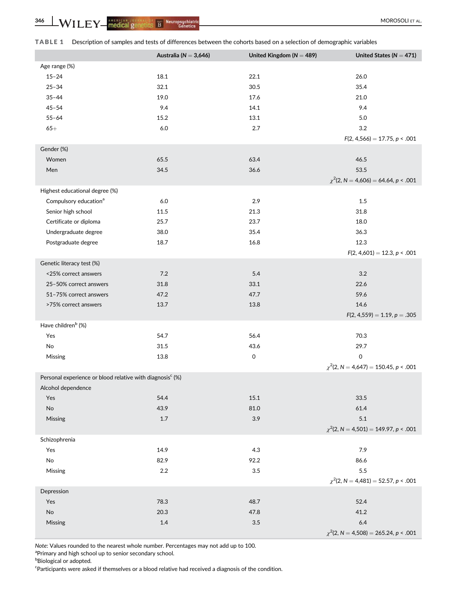|  |  |  | TABLE 1 Description of samples and tests of differences between the cohorts based on a selection of demographic variables |
|--|--|--|---------------------------------------------------------------------------------------------------------------------------|
|--|--|--|---------------------------------------------------------------------------------------------------------------------------|

|                                                                       | Australia ( $N = 3,646$ ) | United Kingdom ( $N = 489$ ) | United States ( $N = 471$ )                |
|-----------------------------------------------------------------------|---------------------------|------------------------------|--------------------------------------------|
| Age range (%)                                                         |                           |                              |                                            |
| $15 - 24$                                                             | 18.1                      | 22.1                         | 26.0                                       |
| $25 - 34$                                                             | 32.1                      | 30.5                         | 35.4                                       |
| $35 - 44$                                                             | 19.0                      | 17.6                         | 21.0                                       |
| $45 - 54$                                                             | 9.4                       | 14.1                         | 9.4                                        |
| $55 - 64$                                                             | 15.2                      | 13.1                         | 5.0                                        |
| $65+$                                                                 | 6.0                       | 2.7                          | 3.2                                        |
|                                                                       |                           |                              | $F(2, 4, 566) = 17.75, p < .001$           |
| Gender (%)                                                            |                           |                              |                                            |
| Women                                                                 | 65.5                      | 63.4                         | 46.5                                       |
| Men                                                                   | 34.5                      | 36.6                         | 53.5                                       |
|                                                                       |                           |                              |                                            |
|                                                                       |                           |                              | $\chi^2$ (2, N = 4,606) = 64.64, p < .001  |
| Highest educational degree (%)                                        |                           |                              |                                            |
| Compulsory education <sup>a</sup>                                     | 6.0                       | 2.9                          | 1.5                                        |
| Senior high school                                                    | 11.5                      | 21.3                         | 31.8                                       |
| Certificate or diploma                                                | 25.7                      | 23.7                         | 18.0                                       |
| Undergraduate degree                                                  | 38.0                      | 35.4                         | 36.3                                       |
| Postgraduate degree                                                   | 18.7                      | 16.8                         | 12.3                                       |
|                                                                       |                           |                              | $F(2, 4,601) = 12.3, p < .001$             |
| Genetic literacy test (%)                                             |                           |                              |                                            |
| <25% correct answers                                                  | 7.2                       | 5.4                          | 3.2                                        |
| 25-50% correct answers                                                | 31.8                      | 33.1                         | 22.6                                       |
| 51-75% correct answers                                                | 47.2                      | 47.7                         | 59.6                                       |
| >75% correct answers                                                  | 13.7                      | 13.8                         | 14.6                                       |
|                                                                       |                           |                              | $F(2, 4, 559) = 1.19, p = .305$            |
| Have children <sup>b</sup> (%)                                        |                           |                              |                                            |
| Yes                                                                   | 54.7                      | 56.4                         | 70.3                                       |
| No                                                                    | 31.5                      | 43.6                         | 29.7                                       |
| Missing                                                               | 13.8                      | 0                            | 0                                          |
|                                                                       |                           |                              | $\chi^2$ (2, N = 4,647) = 150.45, p < .001 |
| Personal experience or blood relative with diagnosis <sup>c</sup> (%) |                           |                              |                                            |
| Alcohol dependence                                                    |                           |                              |                                            |
| Yes                                                                   | 54.4                      | $15.1\,$                     | 33.5                                       |
| $\operatorname{\mathsf{No}}$                                          | 43.9                      | 81.0                         | 61.4                                       |
| Missing                                                               | $1.7\,$                   | 3.9                          | 5.1                                        |
|                                                                       |                           |                              | $\chi^2$ (2, N = 4,501) = 149.97, p < .001 |
| Schizophrenia                                                         |                           |                              |                                            |
| Yes                                                                   | 14.9                      | 4.3                          | 7.9                                        |
| No                                                                    | 82.9                      | 92.2                         | 86.6                                       |
|                                                                       | 2.2                       | 3.5                          | 5.5                                        |
| Missing                                                               |                           |                              | $\chi^2$ (2, N = 4,481) = 52.57, p < .001  |
|                                                                       |                           |                              |                                            |
| Depression                                                            |                           |                              |                                            |
| Yes                                                                   | 78.3                      | 48.7                         | 52.4                                       |
| $\mathsf{No}$                                                         | 20.3                      | 47.8                         | 41.2                                       |
| Missing                                                               | 1.4                       | $3.5\,$                      | 6.4                                        |
|                                                                       |                           |                              | $\chi^2$ (2, N = 4,508) = 265.24, p < .001 |

Note: Values rounded to the nearest whole number. Percentages may not add up to 100.

<sup>a</sup>Primary and high school up to senior secondary school.

**b**Biological or adopted.

<sup>c</sup>Participants were asked if themselves or a blood relative had received a diagnosis of the condition.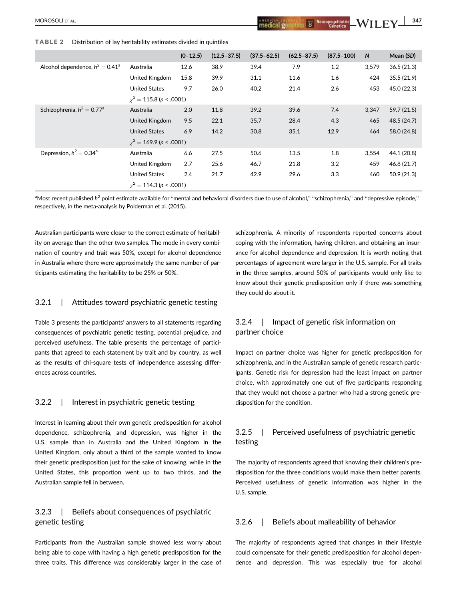TABLE 2 Distribution of lay heritability estimates divided in quintiles

|                                          |                                | $(0-12.5)$ | $(12.5 - 37.5)$ | $(37.5 - 62.5)$ | $(62.5 - 87.5)$ | $(87.5 - 100)$ | $\mathsf{N}$ | Mean (SD)   |
|------------------------------------------|--------------------------------|------------|-----------------|-----------------|-----------------|----------------|--------------|-------------|
| Alcohol dependence, $h^2 = 0.41^a$       | Australia                      | 12.6       | 38.9            | 39.4            | 7.9             | 1.2            | 3,579        | 36.5(21.3)  |
|                                          | United Kingdom                 | 15.8       | 39.9            | 31.1            | 11.6            | 1.6            | 424          | 35.5(21.9)  |
|                                          | <b>United States</b>           | 9.7        | 26.0            | 40.2            | 21.4            | 2.6            | 453          | 45.0 (22.3) |
|                                          | $\chi^2$ = 115.8 (p < .0001)   |            |                 |                 |                 |                |              |             |
| Schizophrenia, $h^2 = 0.77$ <sup>a</sup> | Australia                      | 2.0        | 11.8            | 39.2            | 39.6            | 7.4            | 3,347        | 59.7(21.5)  |
|                                          | United Kingdom                 | 9.5        | 22.1            | 35.7            | 28.4            | 4.3            | 465          | 48.5 (24.7) |
|                                          | <b>United States</b>           | 6.9        | 14.2            | 30.8            | 35.1            | 12.9           | 464          | 58.0 (24.8) |
|                                          | $\gamma^2$ = 169.9 (p < .0001) |            |                 |                 |                 |                |              |             |
| Depression, $h^2 = 0.34^a$               | Australia                      | 6.6        | 27.5            | 50.6            | 13.5            | 1.8            | 3,554        | 44.1 (20.8) |
|                                          | United Kingdom                 | 2.7        | 25.6            | 46.7            | 21.8            | 3.2            | 459          | 46.8 (21.7) |
|                                          | <b>United States</b>           | 2.4        | 21.7            | 42.9            | 29.6            | 3.3            | 460          | 50.9(21.3)  |
|                                          | $\gamma^2$ = 114.3 (p < .0001) |            |                 |                 |                 |                |              |             |

 $^{\rm a}$ Most recent published  $h^2$  point estimate available for "mental and behavioral disorders due to use of alcohol," "schizophrenia," and "depressive episode," respectively, in the meta-analysis by Polderman et al. (2015).

Australian participants were closer to the correct estimate of heritability on average than the other two samples. The mode in every combination of country and trait was 50%, except for alcohol dependence in Australia where there were approximately the same number of participants estimating the heritability to be 25% or 50%.

# 3.2.1 | Attitudes toward psychiatric genetic testing

Table 3 presents the participants' answers to all statements regarding consequences of psychiatric genetic testing, potential prejudice, and perceived usefulness. The table presents the percentage of participants that agreed to each statement by trait and by country, as well as the results of chi-square tests of independence assessing differences across countries.

## 3.2.2 | Interest in psychiatric genetic testing

Interest in learning about their own genetic predisposition for alcohol dependence, schizophrenia, and depression, was higher in the U.S. sample than in Australia and the United Kingdom In the United Kingdom, only about a third of the sample wanted to know their genetic predisposition just for the sake of knowing, while in the United States, this proportion went up to two thirds, and the Australian sample fell in between.

# 3.2.3 | Beliefs about consequences of psychiatric genetic testing

Participants from the Australian sample showed less worry about being able to cope with having a high genetic predisposition for the three traits. This difference was considerably larger in the case of

schizophrenia. A minority of respondents reported concerns about coping with the information, having children, and obtaining an insurance for alcohol dependence and depression. It is worth noting that percentages of agreement were larger in the U.S. sample. For all traits in the three samples, around 50% of participants would only like to know about their genetic predisposition only if there was something they could do about it.

# 3.2.4 | Impact of genetic risk information on partner choice

Impact on partner choice was higher for genetic predisposition for schizophrenia, and in the Australian sample of genetic research participants. Genetic risk for depression had the least impact on partner choice, with approximately one out of five participants responding that they would not choose a partner who had a strong genetic predisposition for the condition.

# 3.2.5 | Perceived usefulness of psychiatric genetic testing

The majority of respondents agreed that knowing their children's predisposition for the three conditions would make them better parents. Perceived usefulness of genetic information was higher in the U.S. sample.

# 3.2.6 | Beliefs about malleability of behavior

The majority of respondents agreed that changes in their lifestyle could compensate for their genetic predisposition for alcohol dependence and depression. This was especially true for alcohol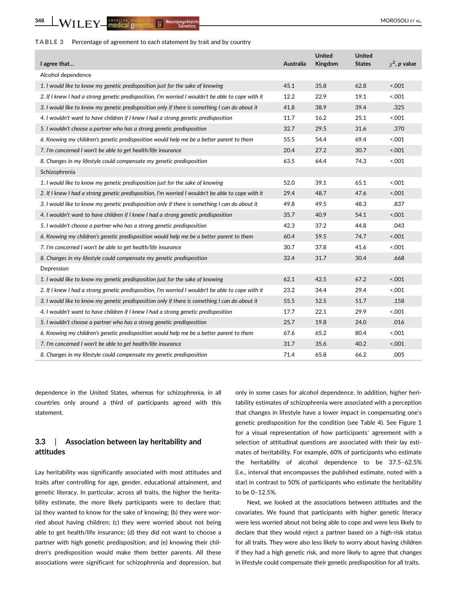# TABLE 3 Percentage of agreement to each statement by trait and by country

| I agree that                                                                                       | Australia | <b>United</b><br>Kingdom | <b>United</b><br><b>States</b> | $\gamma^2$ , p value |
|----------------------------------------------------------------------------------------------------|-----------|--------------------------|--------------------------------|----------------------|
| Alcohol dependence                                                                                 |           |                          |                                |                      |
| 1. I would like to know my genetic predisposition just for the sake of knowing                     | 45.1      | 35.8                     | 62.8                           | < .001               |
| 2. If I knew I had a strong genetic predisposition, I'm worried I wouldn't be able to cope with it | 12.2      | 22.9                     | 19.1                           | 0.001                |
| 3. I would like to know my genetic predisposition only if there is something I can do about it     | 41.8      | 38.9                     | 39.4                           | .325                 |
| 4. I wouldn't want to have children if I knew I had a strong genetic predisposition                | 11.7      | 16.2                     | 25.1                           | 001                  |
| 5. I wouldn't choose a partner who has a strong genetic predisposition                             | 32.7      | 29.5                     | 31.6                           | .370                 |
| 6. Knowing my children's genetic predisposition would help me be a better parent to them           | 55.5      | 54.4                     | 69.4                           | 0.001                |
| 7. I'm concerned I won't be able to get health/life insurance                                      | 20.4      | 27.2                     | 30.7                           | 5.001                |
| 8. Changes in my lifestyle could compensate my genetic predisposition                              | 63.5      | 64.4                     | 74.3                           | 5.001                |
| Schizophrenia                                                                                      |           |                          |                                |                      |
| 1. I would like to know my genetic predisposition just for the sake of knowing                     | 52.0      | 39.1                     | 65.1                           | 5.001                |
| 2. If I knew I had a strong genetic predisposition, I'm worried I wouldn't be able to cope with it | 29.4      | 48.7                     | 47.6                           | 5.001                |
| 3. I would like to know my genetic predisposition only if there is something I can do about it     | 49.8      | 49.5                     | 48.3                           | .837                 |
| 4. I wouldn't want to have children if I knew I had a strong genetic predisposition                | 35.7      | 40.9                     | 54.1                           | 5.001                |
| 5. I wouldn't choose a partner who has a strong genetic predisposition                             | 42.3      | 37.2                     | 44.8                           | .043                 |
| 6. Knowing my children's genetic predisposition would help me be a better parent to them           | 60.4      | 59.5                     | 74.7                           | 5.001                |
| 7. I'm concerned I won't be able to get health/life insurance                                      | 30.7      | 37.8                     | 41.6                           | 5.001                |
| 8. Changes in my lifestyle could compensate my genetic predisposition                              | 32.4      | 31.7                     | 30.4                           | .668                 |
| Depression                                                                                         |           |                          |                                |                      |
| 1. I would like to know my genetic predisposition just for the sake of knowing                     | 62.1      | 42.5                     | 67.2                           | 5.001                |
| 2. If I knew I had a strong genetic predisposition, I'm worried I wouldn't be able to cope with it | 23.2      | 34.4                     | 29.4                           | 5.001                |
| 3. I would like to know my genetic predisposition only if there is something I can do about it     | 55.5      | 52.5                     | 51.7                           | .158                 |
| 4. I wouldn't want to have children if I knew I had a strong genetic predisposition                | 17.7      | 22.1                     | 29.9                           | 5.001                |
| 5. I wouldn't choose a partner who has a strong genetic predisposition                             | 25.7      | 19.8                     | 24.0                           | .016                 |
| 6. Knowing my children's genetic predisposition would help me be a better parent to them           | 67.6      | 65.2                     | 80.4                           | 5.001                |
| 7. I'm concerned I won't be able to get health/life insurance                                      | 31.7      | 35.6                     | 40.2                           | 5.001                |
| 8. Changes in my lifestyle could compensate my genetic predisposition                              | 71.4      | 65.8                     | 66.2                           | .005                 |

dependence in the United States, whereas for schizophrenia, in all countries only around a third of participants agreed with this statement.

# 3.3 | Association between lay heritability and attitudes

Lay heritability was significantly associated with most attitudes and traits after controlling for age, gender, educational attainment, and genetic literacy. In particular, across all traits, the higher the heritability estimate, the more likely participants were to declare that: (a) they wanted to know for the sake of knowing; (b) they were worried about having children; (c) they were worried about not being able to get health/life insurance; (d) they did not want to choose a partner with high genetic predisposition; and (e) knowing their children's predisposition would make them better parents. All these associations were significant for schizophrenia and depression, but

only in some cases for alcohol dependence. In addition, higher heritability estimates of schizophrenia were associated with a perception that changes in lifestyle have a lower impact in compensating one's genetic predisposition for the condition (see Table 4). See Figure 1 for a visual representation of how participants' agreement with a selection of attitudinal questions are associated with their lay estimates of heritability. For example, 60% of participants who estimate the heritability of alcohol dependence to be 37.5–62.5% (i.e., interval that encompasses the published estimate, noted with a star) in contrast to 50% of participants who estimate the heritability to be 0–12.5%.

Next, we looked at the associations between attitudes and the covariates. We found that participants with higher genetic literacy were less worried about not being able to cope and were less likely to declare that they would reject a partner based on a high-risk status for all traits. They were also less likely to worry about having children if they had a high genetic risk, and more likely to agree that changes in lifestyle could compensate their genetic predisposition for all traits.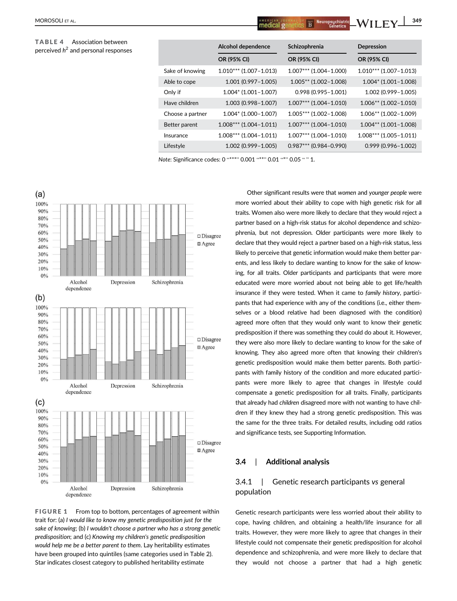#### TABLE 4 Association between 2

| Association between<br>and personal responses |                  | Alcohol dependence       | Schizophrenia            | Depression               |
|-----------------------------------------------|------------------|--------------------------|--------------------------|--------------------------|
|                                               |                  | OR (95% CI)              | OR (95% CI)              | OR (95% CI)              |
|                                               | Sake of knowing  | $1.010***$ (1.007-1.013) | $1.007***$ (1.004-1.000) | $1.010***$ (1.007-1.013) |
|                                               | Able to cope     | $1.001(0.997 - 1.005)$   | $1.005**$ (1.002-1.008)  | $1.004*$ (1.001-1.008)   |
|                                               | Only if          | $1.004*$ (1.001-1.007)   | $0.998(0.995 - 1.001)$   | $1.002(0.999 - 1.005)$   |
|                                               | Have children    | $1.003(0.998 - 1.007)$   | $1.007***$ (1.004-1.010) | $1.006**$ (1.002-1.010)  |
|                                               | Choose a partner | $1.004*$ (1.000-1.007)   | $1.005***$ (1.002-1.008) | $1.006**$ (1.002-1.009)  |
|                                               | Better parent    | $1.008***$ (1.004-1.011) | $1.007***$ (1.004-1.010) | $1.004**$ (1.001-1.008)  |
|                                               | Insurance        | $1.008***$ (1.004-1.011) | $1.007***$ (1.004-1.010) | $1.008***$ (1.005-1.011) |
|                                               | Lifestyle        | $1.002(0.999 - 1.005)$   | $0.987***$ (0.984-0.990) | $0.999(0.996 - 1.002)$   |
|                                               |                  |                          |                          |                          |

Note: Significance codes: 0 "\*\*\*" 0.001 "\*\*" 0.01 "\*" 0.05 " " 1.



FIGURE 1 From top to bottom, percentages of agreement within trait for: (a) I would like to know my genetic predisposition just for the sake of knowing; (b) I wouldn't choose a partner who has a strong genetic predisposition; and (c) Knowing my children's genetic predisposition would help me be a better parent to them. Lay heritability estimates have been grouped into quintiles (same categories used in Table 2). Star indicates closest category to published heritability estimate

Other significant results were that women and younger people were more worried about their ability to cope with high genetic risk for all traits. Women also were more likely to declare that they would reject a partner based on a high-risk status for alcohol dependence and schizophrenia, but not depression. Older participants were more likely to declare that they would reject a partner based on a high-risk status, less likely to perceive that genetic information would make them better parents, and less likely to declare wanting to know for the sake of knowing, for all traits. Older participants and participants that were more educated were more worried about not being able to get life/health insurance if they were tested. When it came to family history, participants that had experience with any of the conditions (i.e., either themselves or a blood relative had been diagnosed with the condition) agreed more often that they would only want to know their genetic predisposition if there was something they could do about it. However, they were also more likely to declare wanting to know for the sake of knowing. They also agreed more often that knowing their children's genetic predisposition would make them better parents. Both participants with family history of the condition and more educated participants were more likely to agree that changes in lifestyle could compensate a genetic predisposition for all traits. Finally, participants that already had children disagreed more with not wanting to have children if they knew they had a strong genetic predisposition. This was the same for the three traits. For detailed results, including odd ratios and significance tests, see Supporting Information.

# 3.4 | Additional analysis

# 3.4.1 | Genetic research participants vs general population

Genetic research participants were less worried about their ability to cope, having children, and obtaining a health/life insurance for all traits. However, they were more likely to agree that changes in their lifestyle could not compensate their genetic predisposition for alcohol dependence and schizophrenia, and were more likely to declare that they would not choose a partner that had a high genetic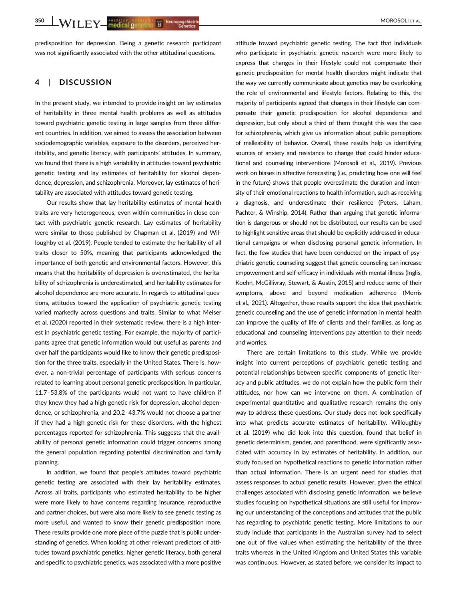predisposition for depression. Being a genetic research participant was not significantly associated with the other attitudinal questions.

# 4 | DISCUSSION

In the present study, we intended to provide insight on lay estimates of heritability in three mental health problems as well as attitudes toward psychiatric genetic testing in large samples from three different countries. In addition, we aimed to assess the association between sociodemographic variables, exposure to the disorders, perceived heritability, and genetic literacy, with participants' attitudes. In summary, we found that there is a high variability in attitudes toward psychiatric genetic testing and lay estimates of heritability for alcohol dependence, depression, and schizophrenia. Moreover, lay estimates of heritability are associated with attitudes toward genetic testing.

Our results show that lay heritability estimates of mental health traits are very heterogeneous, even within communities in close contact with psychiatric genetic research. Lay estimates of heritability were similar to those published by Chapman et al. (2019) and Willoughby et al. (2019). People tended to estimate the heritability of all traits closer to 50%, meaning that participants acknowledged the importance of both genetic and environmental factors. However, this means that the heritability of depression is overestimated, the heritability of schizophrenia is underestimated, and heritability estimates for alcohol dependence are more accurate. In regards to attitudinal questions, attitudes toward the application of psychiatric genetic testing varied markedly across questions and traits. Similar to what Meiser et al. (2020) reported in their systematic review, there is a high interest in psychiatric genetic testing. For example, the majority of participants agree that genetic information would but useful as parents and over half the participants would like to know their genetic predisposition for the three traits, especially in the United States. There is, however, a non-trivial percentage of participants with serious concerns related to learning about personal genetic predisposition. In particular, 11.7–53.8% of the participants would not want to have children if they knew they had a high genetic risk for depression, alcohol dependence, or schizophrenia, and 20.2–43.7% would not choose a partner if they had a high genetic risk for these disorders, with the highest percentages reported for schizophrenia. This suggests that the availability of personal genetic information could trigger concerns among the general population regarding potential discrimination and family planning.

In addition, we found that people's attitudes toward psychiatric genetic testing are associated with their lay heritability estimates. Across all traits, participants who estimated heritability to be higher were more likely to have concerns regarding insurance, reproductive and partner choices, but were also more likely to see genetic testing as more useful, and wanted to know their genetic predisposition more. These results provide one more piece of the puzzle that is public understanding of genetics. When looking at other relevant predictors of attitudes toward psychiatric genetics, higher genetic literacy, both general and specific to psychiatric genetics, was associated with a more positive

attitude toward psychiatric genetic testing. The fact that individuals who participate in psychiatric genetic research were more likely to express that changes in their lifestyle could not compensate their genetic predisposition for mental health disorders might indicate that the way we currently communicate about genetics may be overlooking the role of environmental and lifestyle factors. Relating to this, the majority of participants agreed that changes in their lifestyle can compensate their genetic predisposition for alcohol dependence and depression, but only about a third of them thought this was the case for schizophrenia, which give us information about public perceptions of malleability of behavior. Overall, these results help us identifying sources of anxiety and resistance to change that could hinder educational and counseling interventions (Morosoli et al., 2019). Previous work on biases in affective forecasting (i.e., predicting how one will feel in the future) shows that people overestimate the duration and intensity of their emotional reactions to health information, such as receiving a diagnosis, and underestimate their resilience (Peters, Laham, Pachter, & Winship, 2014). Rather than arguing that genetic information is dangerous or should not be distributed, our results can be used to highlight sensitive areas that should be explicitly addressed in educational campaigns or when disclosing personal genetic information. In fact, the few studies that have been conducted on the impact of psychiatric genetic counseling suggest that genetic counseling can increase empowerment and self-efficacy in individuals with mental illness (Inglis, Koehn, McGillivray, Stewart, & Austin, 2015) and reduce some of their symptoms, above and beyond medication adherence (Morris et al., 2021). Altogether, these results support the idea that psychiatric genetic counseling and the use of genetic information in mental health can improve the quality of life of clients and their families, as long as educational and counseling interventions pay attention to their needs and worries.

There are certain limitations to this study. While we provide insight into current perceptions of psychiatric genetic testing and potential relationships between specific components of genetic literacy and public attitudes, we do not explain how the public form their attitudes, nor how can we intervene on them. A combination of experimental quantitative and qualitative research remains the only way to address these questions. Our study does not look specifically into what predicts accurate estimates of heritability. Willoughby et al. (2019) who did look into this question, found that belief in genetic determinism, gender, and parenthood, were significantly associated with accuracy in lay estimates of heritability. In addition, our study focused on hypothetical reactions to genetic information rather than actual information. There is an urgent need for studies that assess responses to actual genetic results. However, given the ethical challenges associated with disclosing genetic information, we believe studies focusing on hypothetical situations are still useful for improving our understanding of the conceptions and attitudes that the public has regarding to psychiatric genetic testing. More limitations to our study include that participants in the Australian survey had to select one out of five values when estimating the heritability of the three traits whereas in the United Kingdom and United States this variable was continuous. However, as stated before, we consider its impact to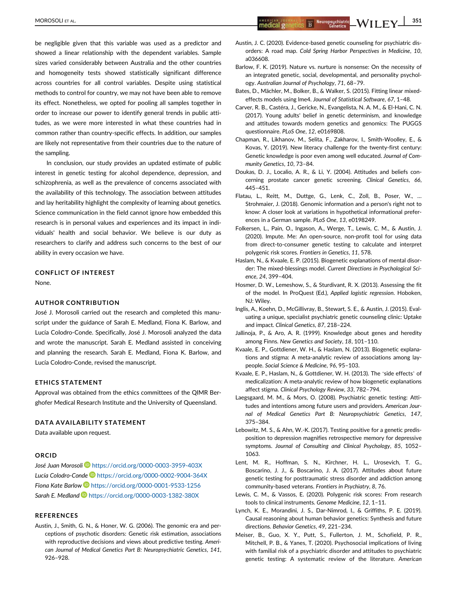be negligible given that this variable was used as a predictor and showed a linear relationship with the dependent variables. Sample sizes varied considerably between Australia and the other countries and homogeneity tests showed statistically significant difference across countries for all control variables. Despite using statistical methods to control for country, we may not have been able to remove its effect. Nonetheless, we opted for pooling all samples together in order to increase our power to identify general trends in public attitudes, as we were more interested in what these countries had in common rather than country-specific effects. In addition, our samples are likely not representative from their countries due to the nature of the sampling.

In conclusion, our study provides an updated estimate of public interest in genetic testing for alcohol dependence, depression, and schizophrenia, as well as the prevalence of concerns associated with the availability of this technology. The association between attitudes and lay heritability highlight the complexity of learning about genetics. Science communication in the field cannot ignore how embedded this research is in personal values and experiences and its impact in individuals' health and social behavior. We believe is our duty as researchers to clarify and address such concerns to the best of our ability in every occasion we have.

## CONFLICT OF INTEREST

None.

#### AUTHOR CONTRIBUTION

José J. Morosoli carried out the research and completed this manuscript under the guidance of Sarah E. Medland, Fiona K. Barlow, and Lucía Colodro-Conde. Specifically, José J. Morosoli analyzed the data and wrote the manuscript. Sarah E. Medland assisted in conceiving and planning the research. Sarah E. Medland, Fiona K. Barlow, and Lucía Colodro-Conde, revised the manuscript.

#### ETHICS STATEMENT

Approval was obtained from the ethics committees of the QIMR Berghofer Medical Research Institute and the University of Queensland.

#### DATA AVAILABILITY STATEMENT

Data available upon request.

#### ORCID

José Juan Morosoli Dhttps://orcid.org/0000-0003-3959-403X Lucía Colodro-Conde<sup>D</sup> https://orcid.org/0000-0002-9004-364X Fiona Kate Barlow https://orcid.org/0000-0001-9533-1256 Sarah E. Medland D https://orcid.org/0000-0003-1382-380X

#### REFERENCES

Austin, J., Smith, G. N., & Honer, W. G. (2006). The genomic era and perceptions of psychotic disorders: Genetic risk estimation, associations with reproductive decisions and views about predictive testing. American Journal of Medical Genetics Part B: Neuropsychiatric Genetics, 141, 926–928.

- Austin, J. C. (2020). Evidence-based genetic counseling for psychiatric disorders: A road map. Cold Spring Harbor Perspectives in Medicine, 10, a036608.
- Barlow, F. K. (2019). Nature vs. nurture is nonsense: On the necessity of an integrated genetic, social, developmental, and personality psychology. Australian Journal of Psychology, 71, 68–79.
- Bates, D., Mächler, M., Bolker, B., & Walker, S. (2015). Fitting linear mixedeffects models using lme4. Journal of Statistical Software, 67, 1–48.
- Carver, R. B., Castéra, J., Gericke, N., Evangelista, N. A. M., & El-Hani, C. N. (2017). Young adults' belief in genetic determinism, and knowledge and attitudes towards modern genetics and genomics: The PUGGS questionnaire. PLoS One, 12, e0169808.
- Chapman, R., Likhanov, M., Selita, F., Zakharov, I., Smith-Woolley, E., & Kovas, Y. (2019). New literacy challenge for the twenty-first century: Genetic knowledge is poor even among well educated. Journal of Community Genetics, 10, 73–84.
- Doukas, D. J., Localio, A. R., & Li, Y. (2004). Attitudes and beliefs concerning prostate cancer genetic screening. Clinical Genetics, 66, 445–451.
- Flatau, L., Reitt, M., Duttge, G., Lenk, C., Zoll, B., Poser, W., … Strohmaier, J. (2018). Genomic information and a person's right not to know: A closer look at variations in hypothetical informational preferences in a German sample. PLoS One, 13, e0198249.
- Folkersen, L., Pain, O., Ingason, A., Werge, T., Lewis, C. M., & Austin, J. (2020). Impute. Me: An open-source, non-profit tool for using data from direct-to-consumer genetic testing to calculate and interpret polygenic risk scores. Frontiers in Genetics, 11, 578.
- Haslam, N., & Kvaale, E. P. (2015). Biogenetic explanations of mental disorder: The mixed-blessings model. Current Directions in Psychological Science, 24, 399–404.
- Hosmer, D. W., Lemeshow, S., & Sturdivant, R. X. (2013). Assessing the fit of the model. In ProQuest (Ed.), Applied logistic regression. Hoboken, NJ: Wiley.
- Inglis, A., Koehn, D., McGillivray, B., Stewart, S. E., & Austin, J. (2015). Evaluating a unique, specialist psychiatric genetic counseling clinic: Uptake and impact. Clinical Genetics, 87, 218–224.
- Jallinoja, P., & Aro, A. R. (1999). Knowledge about genes and heredity among Finns. New Genetics and Society, 18, 101–110.
- Kvaale, E. P., Gottdiener, W. H., & Haslam, N. (2013). Biogenetic explanations and stigma: A meta-analytic review of associations among laypeople. Social Science & Medicine, 96, 95–103.
- Kvaale, E. P., Haslam, N., & Gottdiener, W. H. (2013). The 'side effects' of medicalization: A meta-analytic review of how biogenetic explanations affect stigma. Clinical Psychology Review, 33, 782–794.
- Laegsgaard, M. M., & Mors, O. (2008). Psychiatric genetic testing: Attitudes and intentions among future users and providers. American Journal of Medical Genetics Part B: Neuropsychiatric Genetics, 147, 375–384.
- Lebowitz, M. S., & Ahn, W.-K. (2017). Testing positive for a genetic predisposition to depression magnifies retrospective memory for depressive symptoms. Journal of Consulting and Clinical Psychology, 85, 1052– 1063.
- Lent, M. R., Hoffman, S. N., Kirchner, H. L., Urosevich, T. G., Boscarino, J. J., & Boscarino, J. A. (2017). Attitudes about future genetic testing for posttraumatic stress disorder and addiction among community-based veterans. Frontiers in Psychiatry, 8, 76.
- Lewis, C. M., & Vassos, E. (2020). Polygenic risk scores: From research tools to clinical instruments. Genome Medicine, 12, 1–11.
- Lynch, K. E., Morandini, J. S., Dar-Nimrod, I., & Griffiths, P. E. (2019). Causal reasoning about human behavior genetics: Synthesis and future directions. Behavior Genetics, 49, 221–234.
- Meiser, B., Guo, X. Y., Putt, S., Fullerton, J. M., Schofield, P. R., Mitchell, P. B., & Yanes, T. (2020). Psychosocial implications of living with familial risk of a psychiatric disorder and attitudes to psychiatric genetic testing: A systematic review of the literature. American